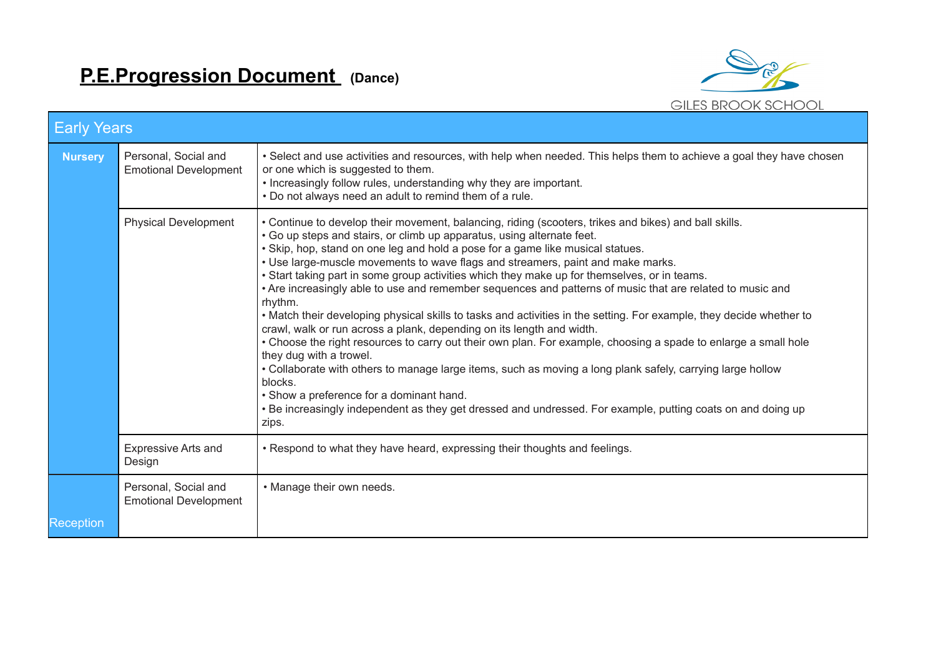

| <b>Early Years</b> |                                                      |                                                                                                                                                                                                                                                                                                                                                                                                                                                                                                                                                                                                                                                                                                                                                                                                                                                                                                                                                                                                                                                                                                                                                                                                                          |  |  |  |  |
|--------------------|------------------------------------------------------|--------------------------------------------------------------------------------------------------------------------------------------------------------------------------------------------------------------------------------------------------------------------------------------------------------------------------------------------------------------------------------------------------------------------------------------------------------------------------------------------------------------------------------------------------------------------------------------------------------------------------------------------------------------------------------------------------------------------------------------------------------------------------------------------------------------------------------------------------------------------------------------------------------------------------------------------------------------------------------------------------------------------------------------------------------------------------------------------------------------------------------------------------------------------------------------------------------------------------|--|--|--|--|
| <b>Nursery</b>     | Personal, Social and<br><b>Emotional Development</b> | • Select and use activities and resources, with help when needed. This helps them to achieve a goal they have chosen<br>or one which is suggested to them.<br>• Increasingly follow rules, understanding why they are important.<br>. Do not always need an adult to remind them of a rule.                                                                                                                                                                                                                                                                                                                                                                                                                                                                                                                                                                                                                                                                                                                                                                                                                                                                                                                              |  |  |  |  |
|                    | <b>Physical Development</b>                          | . Continue to develop their movement, balancing, riding (scooters, trikes and bikes) and ball skills.<br>• Go up steps and stairs, or climb up apparatus, using alternate feet.<br>• Skip, hop, stand on one leg and hold a pose for a game like musical statues.<br>. Use large-muscle movements to wave flags and streamers, paint and make marks.<br>. Start taking part in some group activities which they make up for themselves, or in teams.<br>. Are increasingly able to use and remember sequences and patterns of music that are related to music and<br>rhythm.<br>• Match their developing physical skills to tasks and activities in the setting. For example, they decide whether to<br>crawl, walk or run across a plank, depending on its length and width.<br>• Choose the right resources to carry out their own plan. For example, choosing a spade to enlarge a small hole<br>they dug with a trowel.<br>• Collaborate with others to manage large items, such as moving a long plank safely, carrying large hollow<br>blocks.<br>• Show a preference for a dominant hand.<br>• Be increasingly independent as they get dressed and undressed. For example, putting coats on and doing up<br>zips. |  |  |  |  |
|                    | <b>Expressive Arts and</b><br>Design                 | . Respond to what they have heard, expressing their thoughts and feelings.                                                                                                                                                                                                                                                                                                                                                                                                                                                                                                                                                                                                                                                                                                                                                                                                                                                                                                                                                                                                                                                                                                                                               |  |  |  |  |
| Reception          | Personal, Social and<br><b>Emotional Development</b> | • Manage their own needs.                                                                                                                                                                                                                                                                                                                                                                                                                                                                                                                                                                                                                                                                                                                                                                                                                                                                                                                                                                                                                                                                                                                                                                                                |  |  |  |  |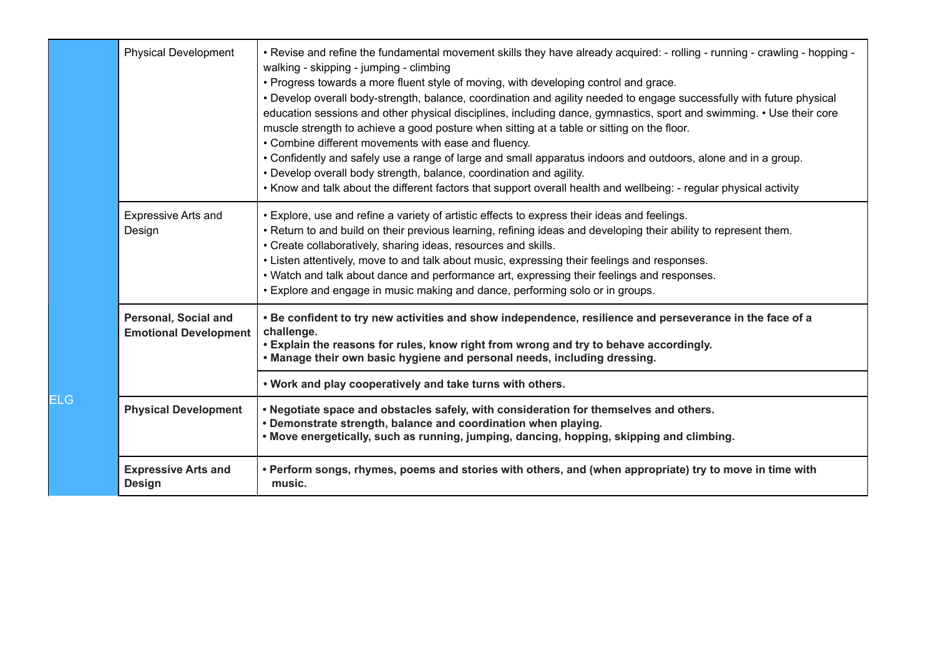|     | <b>Physical Development</b>                                 | . Revise and refine the fundamental movement skills they have already acquired: - rolling - running - crawling - hopping -<br>walking - skipping - jumping - climbing<br>. Progress towards a more fluent style of moving, with developing control and grace.<br>• Develop overall body-strength, balance, coordination and agility needed to engage successfully with future physical<br>education sessions and other physical disciplines, including dance, gymnastics, sport and swimming. • Use their core<br>muscle strength to achieve a good posture when sitting at a table or sitting on the floor.<br>• Combine different movements with ease and fluency.<br>. Confidently and safely use a range of large and small apparatus indoors and outdoors, alone and in a group.<br>• Develop overall body strength, balance, coordination and agility.<br>. Know and talk about the different factors that support overall health and wellbeing: - regular physical activity |
|-----|-------------------------------------------------------------|------------------------------------------------------------------------------------------------------------------------------------------------------------------------------------------------------------------------------------------------------------------------------------------------------------------------------------------------------------------------------------------------------------------------------------------------------------------------------------------------------------------------------------------------------------------------------------------------------------------------------------------------------------------------------------------------------------------------------------------------------------------------------------------------------------------------------------------------------------------------------------------------------------------------------------------------------------------------------------|
|     | <b>Expressive Arts and</b><br>Design                        | • Explore, use and refine a variety of artistic effects to express their ideas and feelings.<br>. Return to and build on their previous learning, refining ideas and developing their ability to represent them.<br>• Create collaboratively, sharing ideas, resources and skills.<br>• Listen attentively, move to and talk about music, expressing their feelings and responses.<br>• Watch and talk about dance and performance art, expressing their feelings and responses.<br>• Explore and engage in music making and dance, performing solo or in groups.                                                                                                                                                                                                                                                                                                                                                                                                                  |
|     | <b>Personal, Social and</b><br><b>Emotional Development</b> | . Be confident to try new activities and show independence, resilience and perseverance in the face of a<br>challenge.<br>. Explain the reasons for rules, know right from wrong and try to behave accordingly.<br>• Manage their own basic hygiene and personal needs, including dressing.                                                                                                                                                                                                                                                                                                                                                                                                                                                                                                                                                                                                                                                                                        |
|     |                                                             | . Work and play cooperatively and take turns with others.                                                                                                                                                                                                                                                                                                                                                                                                                                                                                                                                                                                                                                                                                                                                                                                                                                                                                                                          |
| ELG | <b>Physical Development</b>                                 | . Negotiate space and obstacles safely, with consideration for themselves and others.<br>• Demonstrate strength, balance and coordination when playing.<br>. Move energetically, such as running, jumping, dancing, hopping, skipping and climbing.                                                                                                                                                                                                                                                                                                                                                                                                                                                                                                                                                                                                                                                                                                                                |
|     | <b>Expressive Arts and</b><br><b>Design</b>                 | • Perform songs, rhymes, poems and stories with others, and (when appropriate) try to move in time with<br>music.                                                                                                                                                                                                                                                                                                                                                                                                                                                                                                                                                                                                                                                                                                                                                                                                                                                                  |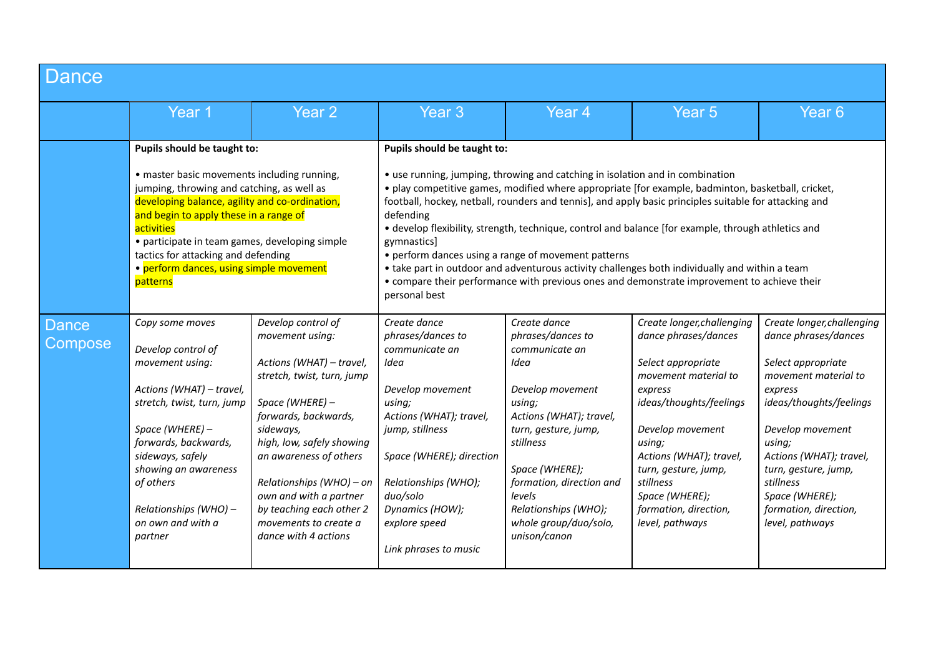| Dance                   |                                                                                                                                                                                                                                                                                                                                                                                    |                                                                                                                                                                                                                                                                                                                                                   |                                                                                                                                                                                                                                                                                                                                                                                                                                                                                                                                                                                                                                                                                                          |                                                                                                                                                                                                                                                                                    |                                                                                                                                                                                                                                                                                                    |                                                                                                                                                                                                                                                                                                    |  |  |
|-------------------------|------------------------------------------------------------------------------------------------------------------------------------------------------------------------------------------------------------------------------------------------------------------------------------------------------------------------------------------------------------------------------------|---------------------------------------------------------------------------------------------------------------------------------------------------------------------------------------------------------------------------------------------------------------------------------------------------------------------------------------------------|----------------------------------------------------------------------------------------------------------------------------------------------------------------------------------------------------------------------------------------------------------------------------------------------------------------------------------------------------------------------------------------------------------------------------------------------------------------------------------------------------------------------------------------------------------------------------------------------------------------------------------------------------------------------------------------------------------|------------------------------------------------------------------------------------------------------------------------------------------------------------------------------------------------------------------------------------------------------------------------------------|----------------------------------------------------------------------------------------------------------------------------------------------------------------------------------------------------------------------------------------------------------------------------------------------------|----------------------------------------------------------------------------------------------------------------------------------------------------------------------------------------------------------------------------------------------------------------------------------------------------|--|--|
|                         | Year 1                                                                                                                                                                                                                                                                                                                                                                             | Year 2                                                                                                                                                                                                                                                                                                                                            | Year 3                                                                                                                                                                                                                                                                                                                                                                                                                                                                                                                                                                                                                                                                                                   | Year <sub>4</sub>                                                                                                                                                                                                                                                                  | Year <sub>5</sub>                                                                                                                                                                                                                                                                                  | Year <sub>6</sub>                                                                                                                                                                                                                                                                                  |  |  |
|                         | Pupils should be taught to:<br>• master basic movements including running,<br>jumping, throwing and catching, as well as<br>developing balance, agility and co-ordination,<br>and begin to apply these in a range of<br>activities<br>• participate in team games, developing simple<br>tactics for attacking and defending<br>• perform dances, using simple movement<br>patterns |                                                                                                                                                                                                                                                                                                                                                   | Pupils should be taught to:                                                                                                                                                                                                                                                                                                                                                                                                                                                                                                                                                                                                                                                                              |                                                                                                                                                                                                                                                                                    |                                                                                                                                                                                                                                                                                                    |                                                                                                                                                                                                                                                                                                    |  |  |
|                         |                                                                                                                                                                                                                                                                                                                                                                                    |                                                                                                                                                                                                                                                                                                                                                   | • use running, jumping, throwing and catching in isolation and in combination<br>. play competitive games, modified where appropriate [for example, badminton, basketball, cricket,<br>football, hockey, netball, rounders and tennis], and apply basic principles suitable for attacking and<br>defending<br>• develop flexibility, strength, technique, control and balance [for example, through athletics and<br>gymnastics<br>• perform dances using a range of movement patterns<br>• take part in outdoor and adventurous activity challenges both individually and within a team<br>• compare their performance with previous ones and demonstrate improvement to achieve their<br>personal best |                                                                                                                                                                                                                                                                                    |                                                                                                                                                                                                                                                                                                    |                                                                                                                                                                                                                                                                                                    |  |  |
| <b>Dance</b><br>Compose | Copy some moves<br>Develop control of<br>movement using:<br>Actions (WHAT) - travel,<br>stretch, twist, turn, jump<br>Space (WHERE) -<br>forwards, backwards,<br>sideways, safely<br>showing an awareness<br>of others<br>Relationships (WHO) -<br>on own and with a<br>partner                                                                                                    | Develop control of<br>movement using:<br>Actions (WHAT) - travel,<br>stretch, twist, turn, jump<br>Space (WHERE) -<br>forwards, backwards,<br>sideways,<br>high, low, safely showing<br>an awareness of others<br>Relationships (WHO) - on<br>own and with a partner<br>by teaching each other 2<br>movements to create a<br>dance with 4 actions | Create dance<br>phrases/dances to<br>communicate an<br>Idea<br>Develop movement<br>using;<br>Actions (WHAT); travel,<br>jump, stillness<br>Space (WHERE); direction<br>Relationships (WHO);<br>duo/solo<br>Dynamics (HOW);<br>explore speed<br>Link phrases to music                                                                                                                                                                                                                                                                                                                                                                                                                                     | Create dance<br>phrases/dances to<br>communicate an<br>Idea<br>Develop movement<br>using;<br>Actions (WHAT); travel,<br>turn, gesture, jump,<br>stillness<br>Space (WHERE);<br>formation, direction and<br>levels<br>Relationships (WHO);<br>whole group/duo/solo,<br>unison/canon | Create longer, challenging<br>dance phrases/dances<br>Select appropriate<br>movement material to<br>express<br>ideas/thoughts/feelings<br>Develop movement<br>using;<br>Actions (WHAT); travel,<br>turn, gesture, jump,<br>stillness<br>Space (WHERE);<br>formation, direction,<br>level, pathways | Create longer, challenging<br>dance phrases/dances<br>Select appropriate<br>movement material to<br>express<br>ideas/thoughts/feelings<br>Develop movement<br>using;<br>Actions (WHAT); travel,<br>turn, gesture, jump,<br>stillness<br>Space (WHERE);<br>formation, direction,<br>level, pathways |  |  |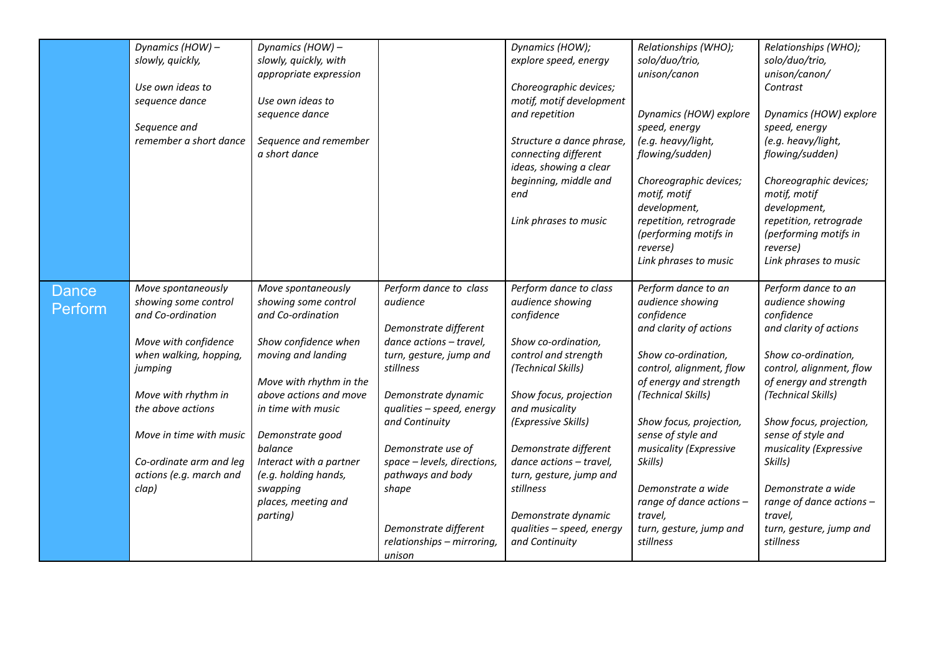|                         | Dynamics (HOW) -<br>slowly, quickly,<br>Use own ideas to<br>sequence dance<br>Sequence and<br>remember a short dance | Dynamics (HOW) -<br>slowly, quickly, with<br>appropriate expression<br>Use own ideas to<br>sequence dance<br>Sequence and remember<br>a short dance |                                                                                                                       | Dynamics (HOW);<br>explore speed, energy<br>Choreographic devices;<br>motif, motif development<br>and repetition<br>Structure a dance phrase,<br>connecting different<br>ideas, showing a clear<br>beginning, middle and<br>end | Relationships (WHO);<br>solo/duo/trio,<br>unison/canon<br>Dynamics (HOW) explore<br>speed, energy<br>(e.g. heavy/light,<br>flowing/sudden)<br>Choreographic devices;<br>motif, motif<br>development, | Relationships (WHO);<br>solo/duo/trio,<br>unison/canon/<br>Contrast<br>Dynamics (HOW) explore<br>speed, energy<br>(e.g. heavy/light,<br>flowing/sudden)<br>Choreographic devices;<br>motif, motif<br>development, |
|-------------------------|----------------------------------------------------------------------------------------------------------------------|-----------------------------------------------------------------------------------------------------------------------------------------------------|-----------------------------------------------------------------------------------------------------------------------|---------------------------------------------------------------------------------------------------------------------------------------------------------------------------------------------------------------------------------|------------------------------------------------------------------------------------------------------------------------------------------------------------------------------------------------------|-------------------------------------------------------------------------------------------------------------------------------------------------------------------------------------------------------------------|
|                         |                                                                                                                      |                                                                                                                                                     |                                                                                                                       | Link phrases to music                                                                                                                                                                                                           | repetition, retrograde<br>(performing motifs in<br>reverse)<br>Link phrases to music                                                                                                                 | repetition, retrograde<br>(performing motifs in<br>reverse)<br>Link phrases to music                                                                                                                              |
| <b>Dance</b><br>Perform | Move spontaneously<br>showing some control<br>and Co-ordination                                                      | Move spontaneously<br>showing some control<br>and Co-ordination                                                                                     | Perform dance to class<br>audience<br>Demonstrate different                                                           | Perform dance to class<br>audience showing<br>confidence                                                                                                                                                                        | Perform dance to an<br>audience showing<br>confidence<br>and clarity of actions                                                                                                                      | Perform dance to an<br>audience showing<br>confidence<br>and clarity of actions                                                                                                                                   |
|                         | Move with confidence<br>when walking, hopping,<br>jumping<br>Move with rhythm in                                     | Show confidence when<br>moving and landing<br>Move with rhythm in the<br>above actions and move                                                     | dance actions - travel,<br>turn, gesture, jump and<br>stillness<br>Demonstrate dynamic                                | Show co-ordination,<br>control and strength<br>(Technical Skills)<br>Show focus, projection                                                                                                                                     | Show co-ordination,<br>control, alignment, flow<br>of energy and strength<br>(Technical Skills)                                                                                                      | Show co-ordination,<br>control, alignment, flow<br>of energy and strength<br>(Technical Skills)                                                                                                                   |
|                         | the above actions<br>Move in time with music<br>Co-ordinate arm and leg<br>actions (e.g. march and                   | in time with music<br>Demonstrate good<br>balance<br>Interact with a partner<br>(e.g. holding hands,                                                | qualities - speed, energy<br>and Continuity<br>Demonstrate use of<br>space - levels, directions,<br>pathways and body | and musicality<br>(Expressive Skills)<br>Demonstrate different<br>dance actions - travel,<br>turn, gesture, jump and                                                                                                            | Show focus, projection,<br>sense of style and<br>musicality (Expressive<br>Skills)                                                                                                                   | Show focus, projection,<br>sense of style and<br>musicality (Expressive<br>Skills)                                                                                                                                |
|                         | clap)                                                                                                                | swapping<br>places, meeting and<br>parting)                                                                                                         | shape<br>Demonstrate different<br>relationships - mirroring,<br>unison                                                | stillness<br>Demonstrate dynamic<br>qualities - speed, energy<br>and Continuity                                                                                                                                                 | Demonstrate a wide<br>range of dance actions -<br>travel,<br>turn, gesture, jump and<br>stillness                                                                                                    | Demonstrate a wide<br>range of dance actions -<br>travel,<br>turn, gesture, jump and<br>stillness                                                                                                                 |